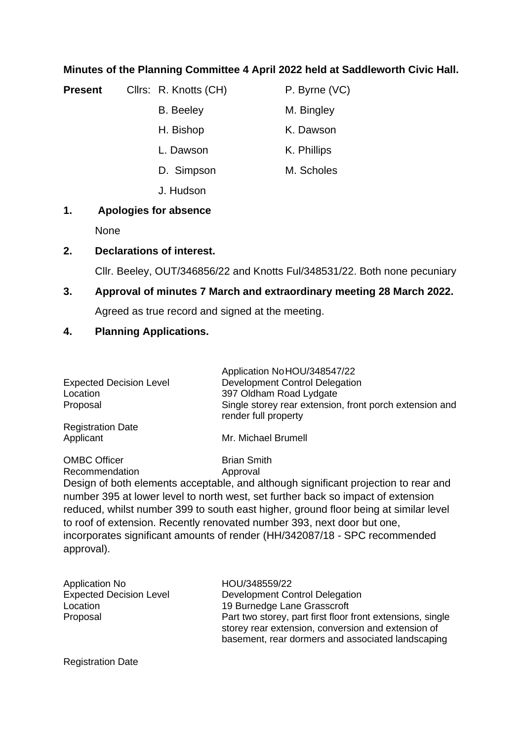### **Minutes of the Planning Committee 4 April 2022 held at Saddleworth Civic Hall.**

**Present** Clirs: R. Knotts (CH) P. Byrne (VC)

- B. Beeley M. Bingley
- H. Bishop K. Dawson
- L. Dawson K. Phillips
- D. Simpson M. Scholes
- J. Hudson

# **1. Apologies for absence**

None

## **2. Declarations of interest.**

Cllr. Beeley, OUT/346856/22 and Knotts Ful/348531/22. Both none pecuniary

## **3. Approval of minutes 7 March and extraordinary meeting 28 March 2022.**

Agreed as true record and signed at the meeting.

## **4. Planning Applications.**

|                                       | Application NoHOU/348547/22                                                     |
|---------------------------------------|---------------------------------------------------------------------------------|
| <b>Expected Decision Level</b>        | Development Control Delegation                                                  |
| Location                              | 397 Oldham Road Lydgate                                                         |
| Proposal                              | Single storey rear extension, front porch extension and<br>render full property |
| <b>Registration Date</b>              |                                                                                 |
| Applicant                             | Mr. Michael Brumell                                                             |
| <b>OMBC Officer</b><br>$\blacksquare$ | <b>Brian Smith</b>                                                              |

Recommendation Approval

Design of both elements acceptable, and although significant projection to rear and number 395 at lower level to north west, set further back so impact of extension reduced, whilst number 399 to south east higher, ground floor being at similar level to roof of extension. Recently renovated number 393, next door but one, incorporates significant amounts of render (HH/342087/18 - SPC recommended approval).

| <b>Application No</b>          | HOU/348559/22                                                                                                                                                         |
|--------------------------------|-----------------------------------------------------------------------------------------------------------------------------------------------------------------------|
| <b>Expected Decision Level</b> | <b>Development Control Delegation</b>                                                                                                                                 |
| Location                       | 19 Burnedge Lane Grasscroft                                                                                                                                           |
| Proposal                       | Part two storey, part first floor front extensions, single<br>storey rear extension, conversion and extension of<br>basement, rear dormers and associated landscaping |
|                                |                                                                                                                                                                       |

Registration Date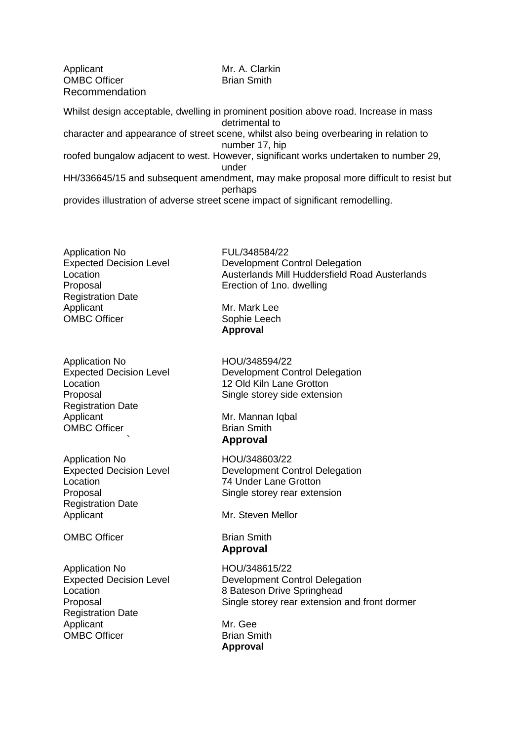Applicant Mr. A. Clarkin OMBC Officer **Brian Smith** Recommendation

Whilst design acceptable, dwelling in prominent position above road. Increase in mass detrimental to character and appearance of street scene, whilst also being overbearing in relation to number 17, hip roofed bungalow adjacent to west. However, significant works undertaken to number 29, under HH/336645/15 and subsequent amendment, may make proposal more difficult to resist but perhaps

provides illustration of adverse street scene impact of significant remodelling.

Application No FUL/348584/22 Registration Date Applicant Mr. Mark Lee OMBC Officer Sophie Leech

Application No HOU/348594/22 Registration Date Applicant Mr. Mannan Iqbal OMBC Officer Brian Smith

Application No **HOU/348603/22** Location 74 Under Lane Grotton Registration Date Applicant Mr. Steven Mellor

OMBC Officer **Brian Smith** 

Application No HOU/348615/22 Registration Date Applicant Mr. Gee OMBC Officer **Brian Smith** 

Expected Decision Level **Development Control Delegation** Location Austerlands Mill Huddersfield Road Austerlands Proposal Erection of 1no. dwelling

**Approval**

Expected Decision Level **Development Control Delegation** Location 12 Old Kiln Lane Grotton Proposal Single storey side extension

` **Approval** 

Expected Decision Level **Development Control Delegation** Proposal Single storey rear extension

**Approval** 

Expected Decision Level **Development Control Delegation** Location 8 Bateson Drive Springhead Proposal Single storey rear extension and front dormer

**Approval**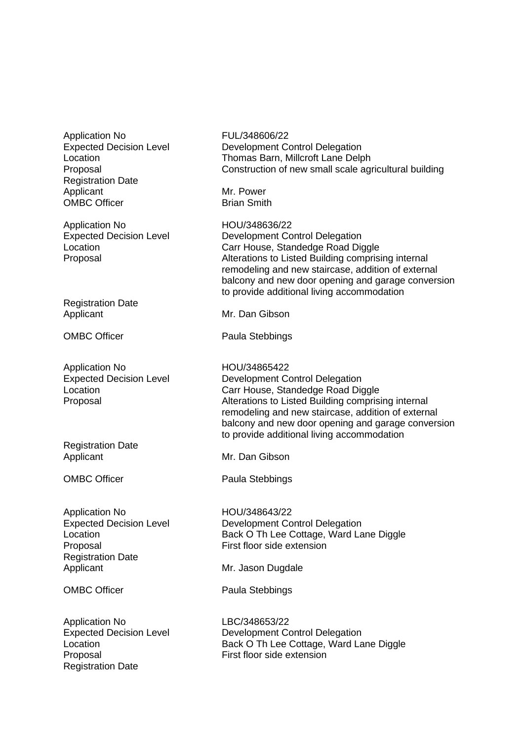Application No FUL/348606/22 Registration Date Applicant Mr. Power OMBC Officer **Brian Smith** 

Application No **HOU/348636/22** 

Registration Date Applicant Mr. Dan Gibson

Application No **HOU/34865422** 

Registration Date Applicant Mr. Dan Gibson

Application No **HOU/348643/22** Proposal **First floor side extension** Registration Date Applicant Mr. Jason Dugdale

Application No LBC/348653/22 Proposal First floor side extension Registration Date

Expected Decision Level **Development Control Delegation** Location Thomas Barn, Millcroft Lane Delph Proposal Construction of new small scale agricultural building

Expected Decision Level **Development Control Delegation** Location **Carr House, Standedge Road Diggle** Proposal Alterations to Listed Building comprising internal remodeling and new staircase, addition of external balcony and new door opening and garage conversion to provide additional living accommodation

OMBC Officer Paula Stebbings

Expected Decision Level **Development Control Delegation** Location Carr House, Standedge Road Diggle Proposal Alterations to Listed Building comprising internal remodeling and new staircase, addition of external balcony and new door opening and garage conversion to provide additional living accommodation

OMBC Officer Paula Stebbings

Expected Decision Level **Development Control Delegation** Location **Back O Th Lee Cottage, Ward Lane Diggle** 

OMBC Officer Paula Stebbings

Expected Decision Level **Development Control Delegation** Location **Back O Th Lee Cottage, Ward Lane Diggle**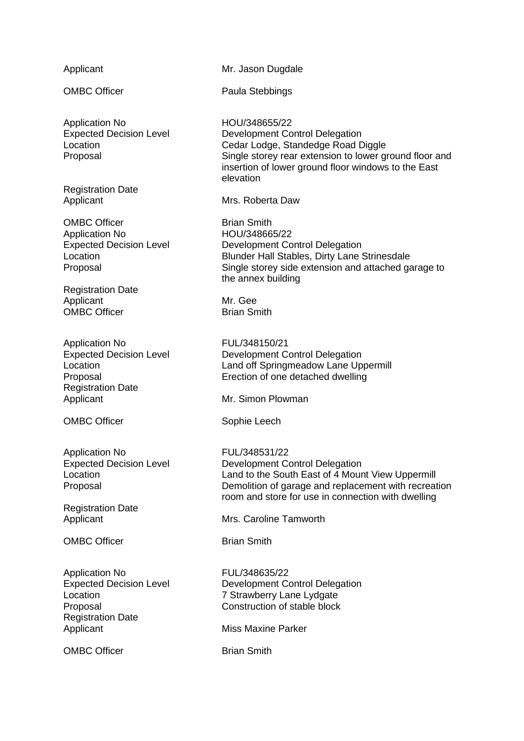Application No HOU/348655/22

Registration Date

OMBC Officer **Brian Smith** Application No HOU/348665/22

Registration Date Applicant Mr. Gee OMBC Officer **Brian Smith** 

Application No FUL/348150/21<br>Expected Decision Level **Expected** Decision Level Registration Date Applicant Mr. Simon Plowman

Application No FUL/348531/22

Registration Date

OMBC Officer **Brian Smith** 

Application No<br>
Expected Decision Level<br>
Development Co Registration Date Applicant Miss Maxine Parker

OMBC Officer **Brian Smith** 

Applicant Mr. Jason Dugdale

OMBC Officer Paula Stebbings

Expected Decision Level **Development Control Delegation** Location Cedar Lodge, Standedge Road Diggle Proposal Single storey rear extension to lower ground floor and insertion of lower ground floor windows to the East elevation

Applicant Mrs. Roberta Daw

Expected Decision Level **Development Control Delegation** Location Blunder Hall Stables, Dirty Lane Strinesdale Proposal Single storey side extension and attached garage to the annex building

Development Control Delegation Location Land off Springmeadow Lane Uppermill Proposal Erection of one detached dwelling

OMBC Officer Sophie Leech

Expected Decision Level **Development Control Delegation** Location **Land to the South East of 4 Mount View Uppermill** Proposal Demolition of garage and replacement with recreation room and store for use in connection with dwelling

Applicant Mrs. Caroline Tamworth

Development Control Delegation Location 7 Strawberry Lane Lydgate Proposal Construction of stable block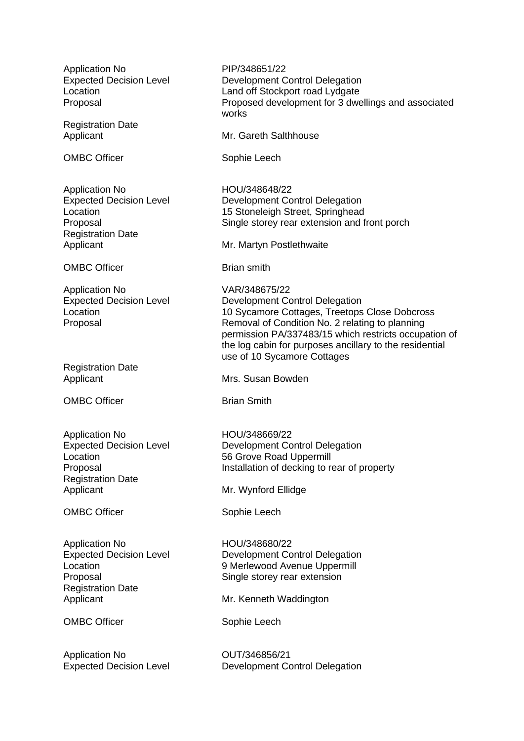Application No PIP/348651/22 Expected Decision Level **Development Control Delegation** Location **Land off Stockport road Lydgate** Proposal Proposed development for 3 dwellings and associated works Registration Date Applicant Mr. Gareth Salthhouse OMBC Officer Sophie Leech Application No **HOU/348648/22** Expected Decision Level **Development Control Delegation** Location 15 Stoneleigh Street, Springhead Proposal Single storey rear extension and front porch Registration Date Applicant Mr. Martyn Postlethwaite OMBC Officer **Brian smith** Application No VAR/348675/22 Expected Decision Level **Development Control Delegation** Location 10 Sycamore Cottages, Treetops Close Dobcross Proposal Removal of Condition No. 2 relating to planning permission PA/337483/15 which restricts occupation of the log cabin for purposes ancillary to the residential use of 10 Sycamore Cottages Registration Date<br>Applicant Mrs. Susan Bowden OMBC Officer **Brian Smith** Application No **HOU/348669/22** Expected Decision Level **Development Control Delegation** Location 56 Grove Road Uppermill Proposal **Installation of decking to rear of property** Registration Date Applicant Mr. Wynford Ellidge OMBC Officer Sophie Leech Application No HOU/348680/22 Expected Decision Level **Development Control Delegation** Location 9 Merlewood Avenue Uppermill Proposal Single storey rear extension Registration Date Applicant Mr. Kenneth Waddington OMBC Officer Sophie Leech

Application No **OUT/346856/21** Expected Decision Level **Development Control Delegation**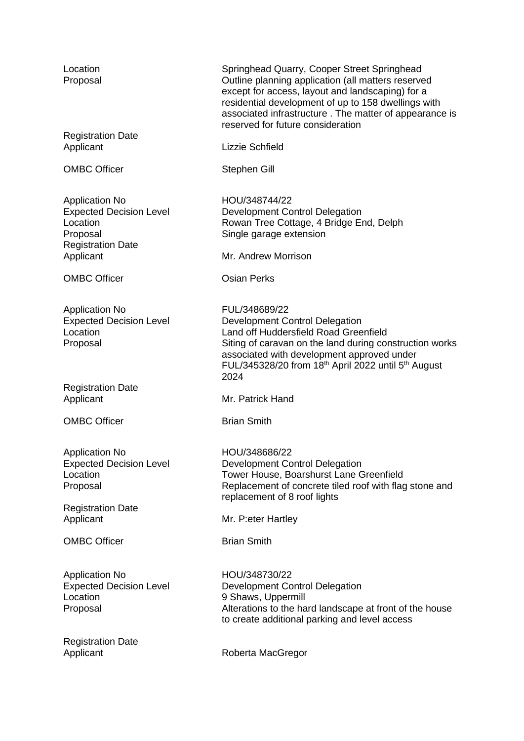| Location<br>Proposal                                                                                                     | Springhead Quarry, Cooper Street Springhead<br>Outline planning application (all matters reserved<br>except for access, layout and landscaping) for a<br>residential development of up to 158 dwellings with<br>associated infrastructure. The matter of appearance is<br>reserved for future consideration |
|--------------------------------------------------------------------------------------------------------------------------|-------------------------------------------------------------------------------------------------------------------------------------------------------------------------------------------------------------------------------------------------------------------------------------------------------------|
| <b>Registration Date</b><br>Applicant                                                                                    | Lizzie Schfield                                                                                                                                                                                                                                                                                             |
| <b>OMBC Officer</b>                                                                                                      | Stephen Gill                                                                                                                                                                                                                                                                                                |
| <b>Application No</b><br><b>Expected Decision Level</b><br>Location<br>Proposal<br><b>Registration Date</b><br>Applicant | HOU/348744/22<br>Development Control Delegation<br>Rowan Tree Cottage, 4 Bridge End, Delph<br>Single garage extension<br>Mr. Andrew Morrison                                                                                                                                                                |
| <b>OMBC Officer</b>                                                                                                      | <b>Osian Perks</b>                                                                                                                                                                                                                                                                                          |
| <b>Application No</b><br><b>Expected Decision Level</b><br>Location<br>Proposal                                          | FUL/348689/22<br>Development Control Delegation<br>Land off Huddersfield Road Greenfield<br>Siting of caravan on the land during construction works<br>associated with development approved under<br>FUL/345328/20 from 18 <sup>th</sup> April 2022 until 5 <sup>th</sup> August<br>2024                    |
| <b>Registration Date</b><br>Applicant                                                                                    | Mr. Patrick Hand                                                                                                                                                                                                                                                                                            |
| <b>OMBC Officer</b>                                                                                                      | <b>Brian Smith</b>                                                                                                                                                                                                                                                                                          |
| <b>Application No</b><br><b>Expected Decision Level</b><br>Location<br>Proposal<br><b>Registration Date</b>              | HOU/348686/22<br>Development Control Delegation<br>Tower House, Boarshurst Lane Greenfield<br>Replacement of concrete tiled roof with flag stone and<br>replacement of 8 roof lights                                                                                                                        |
| Applicant                                                                                                                | Mr. P: eter Hartley                                                                                                                                                                                                                                                                                         |
| <b>OMBC Officer</b>                                                                                                      | <b>Brian Smith</b>                                                                                                                                                                                                                                                                                          |
| <b>Application No</b><br><b>Expected Decision Level</b><br>Location<br>Proposal                                          | HOU/348730/22<br>Development Control Delegation<br>9 Shaws, Uppermill<br>Alterations to the hard landscape at front of the house<br>to create additional parking and level access                                                                                                                           |
| <b>Registration Date</b><br>Applicant                                                                                    | Roberta MacGregor                                                                                                                                                                                                                                                                                           |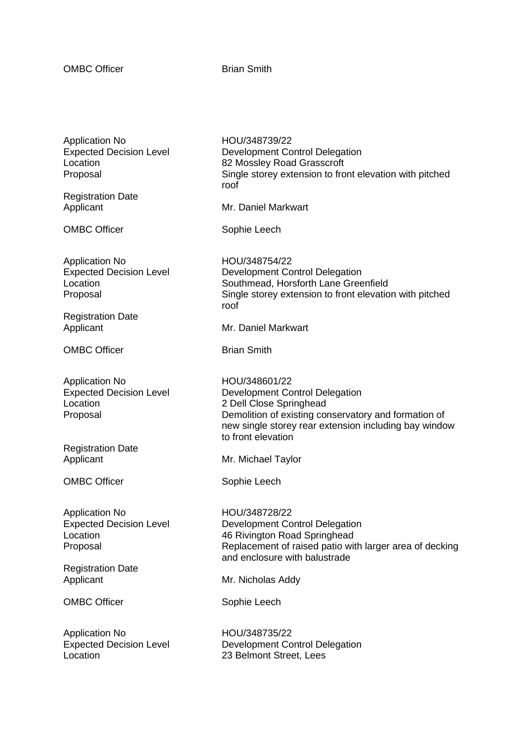OMBC Officer **Brian Smith** 

Application No **HOU/348739/22**<br>Expected Decision Level **Bullets** Development Co

Registration Date

Application No HOU/348754/22

Registration Date

OMBC Officer **Brian Smith** 

Application No **HOU/348601/22**<br>Expected Decision Level **Expected** Development Co

Registration Date

OMBC Officer Sophie Leech

Application No **HOU/348728/22** 

Registration Date

Application No **HOU/348735/22** 

Development Control Delegation Location 82 Mossley Road Grasscroft Proposal Single storey extension to front elevation with pitched roof

Applicant Mr. Daniel Markwart

OMBC Officer Sophie Leech

Expected Decision Level **Development Control Delegation** Location Southmead, Horsforth Lane Greenfield Proposal Single storey extension to front elevation with pitched roof

Applicant Mr. Daniel Markwart

Development Control Delegation Location 2 Dell Close Springhead Proposal Demolition of existing conservatory and formation of new single storey rear extension including bay window to front elevation

Applicant Mr. Michael Taylor

Expected Decision Level **Development Control Delegation** Location 46 Rivington Road Springhead Proposal Proposal Replacement of raised patio with larger area of decking and enclosure with balustrade

Applicant Mr. Nicholas Addy

OMBC Officer Sophie Leech

Expected Decision Level **Development Control Delegation** Location 23 Belmont Street, Lees